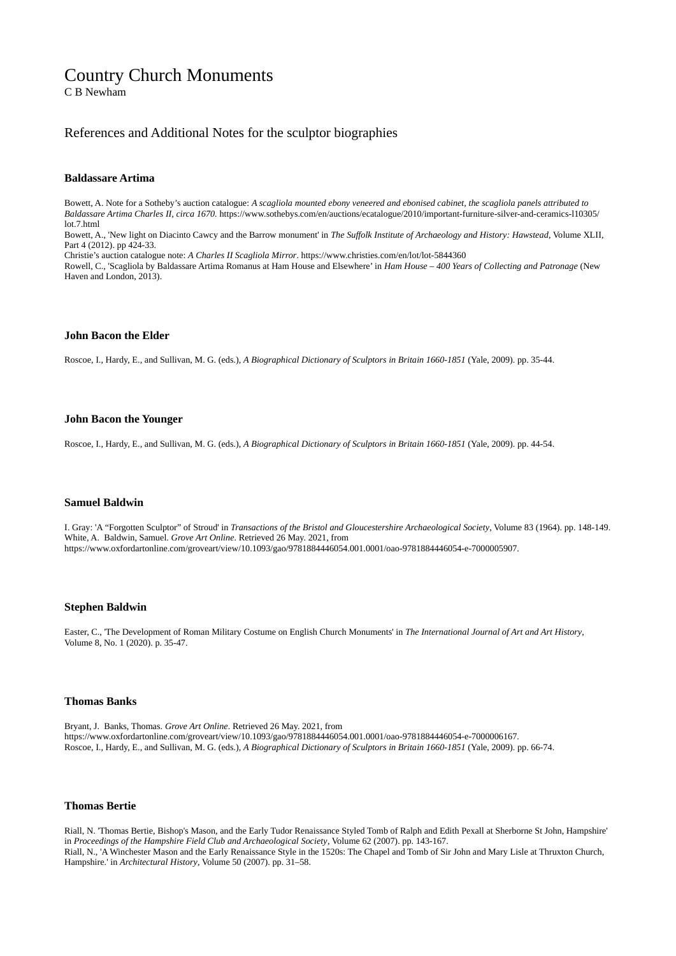# Country Church Monuments

C B Newham

# References and Additional Notes for the sculptor biographies

### **Baldassare Artima**

Bowett, A. Note for a Sotheby's auction catalogue: *A scagliola mounted ebony veneered and ebonised cabinet, the scagliola panels attributed to Baldassare Artima Charles II, circa 1670.* https://www.sothebys.com/en/auctions/ecatalogue/2010/important-furniture-silver-and-ceramics-l10305/ lot.7.html

Bowett, A., 'New light on Diacinto Cawcy and the Barrow monument' in *The Suffolk Institute of Archaeology and History: Hawstead*, Volume XLII, Part 4 (2012). pp 424-33.

Christie's auction catalogue note: *A Charles II Scagliola Mirror*. https://www.christies.com/en/lot/lot-5844360

Rowell, C., 'Scagliola by Baldassare Artima Romanus at Ham House and Elsewhere' in *Ham House – 400 Years of Collecting and Patronage* (New Haven and London, 2013).

#### **John Bacon the Elder**

Roscoe, I., Hardy, E., and Sullivan, M. G. (eds.), *A Biographical Dictionary of Sculptors in Britain 1660-1851* (Yale, 2009). pp. 35-44.

#### **John Bacon the Younger**

Roscoe, I., Hardy, E., and Sullivan, M. G. (eds.), *A Biographical Dictionary of Sculptors in Britain 1660-1851* (Yale, 2009). pp. 44-54.

#### **Samuel Baldwin**

I. Gray: 'A "Forgotten Sculptor" of Stroud' in *Transactions of the Bristol and Gloucestershire Archaeological Society*, Volume 83 (1964). pp. 148-149. White, A. Baldwin, Samuel. *Grove Art Online*. Retrieved 26 May. 2021, from https://www.oxfordartonline.com/groveart/view/10.1093/gao/9781884446054.001.0001/oao-9781884446054-e-7000005907.

#### **Stephen Baldwin**

Easter, C., 'The Development of Roman Military Costume on English Church Monuments' in *The International Journal of Art and Art History*, Volume 8, No. 1 (2020). p. 35-47.

# **Thomas Banks**

Bryant, J. Banks, Thomas. *Grove Art Online*. Retrieved 26 May. 2021, from https://www.oxfordartonline.com/groveart/view/10.1093/gao/9781884446054.001.0001/oao-9781884446054-e-7000006167. Roscoe, I., Hardy, E., and Sullivan, M. G. (eds.), *A Biographical Dictionary of Sculptors in Britain 1660-1851* (Yale, 2009). pp. 66-74.

#### **Thomas Bertie**

Riall, N. 'Thomas Bertie, Bishop's Mason, and the Early Tudor Renaissance Styled Tomb of Ralph and Edith Pexall at Sherborne St John, Hampshire' in *Proceedings of the Hampshire Field Club and Archaeological Society*, Volume 62 (2007). pp. 143-167. Riall, N., 'A Winchester Mason and the Early Renaissance Style in the 1520s: The Chapel and Tomb of Sir John and Mary Lisle at Thruxton Church, Hampshire.' in *Architectural History*, Volume 50 (2007). pp. 31–58.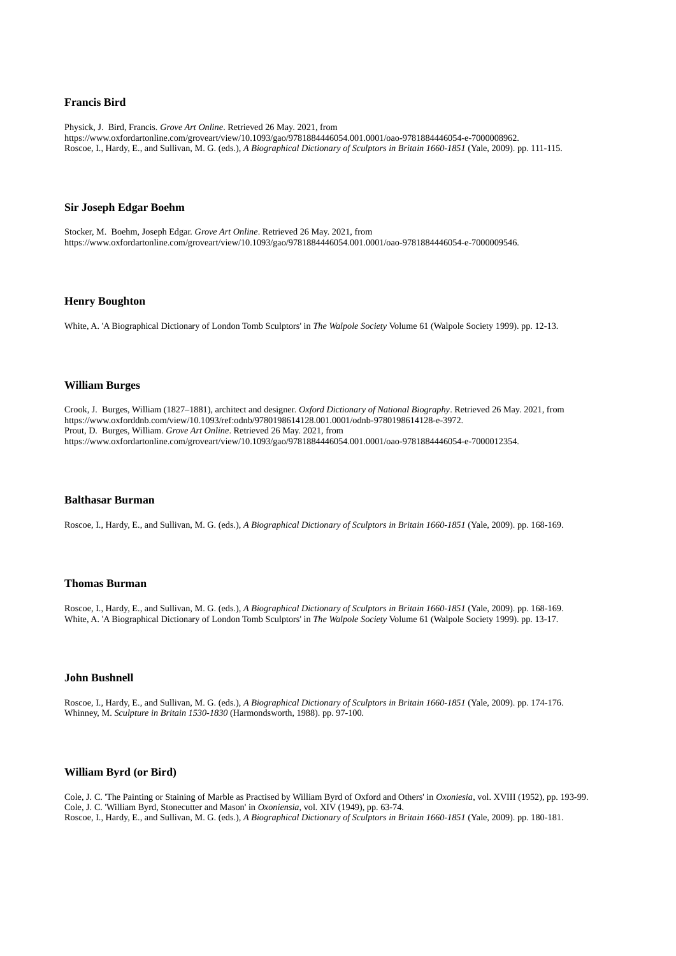### **Francis Bird**

Physick, J. Bird, Francis. *Grove Art Online*. Retrieved 26 May. 2021, from https://www.oxfordartonline.com/groveart/view/10.1093/gao/9781884446054.001.0001/oao-9781884446054-e-7000008962. Roscoe, I., Hardy, E., and Sullivan, M. G. (eds.), *A Biographical Dictionary of Sculptors in Britain 1660-1851* (Yale, 2009). pp. 111-115.

# **Sir Joseph Edgar Boehm**

Stocker, M. Boehm, Joseph Edgar. *Grove Art Online*. Retrieved 26 May. 2021, from https://www.oxfordartonline.com/groveart/view/10.1093/gao/9781884446054.001.0001/oao-9781884446054-e-7000009546.

# **Henry Boughton**

White, A. 'A Biographical Dictionary of London Tomb Sculptors' in *The Walpole Society* Volume 61 (Walpole Society 1999). pp. 12-13.

# **William Burges**

Crook, J. Burges, William (1827–1881), architect and designer. *Oxford Dictionary of National Biography*. Retrieved 26 May. 2021, from https://www.oxforddnb.com/view/10.1093/ref:odnb/9780198614128.001.0001/odnb-9780198614128-e-3972. Prout, D. Burges, William. *Grove Art Online*. Retrieved 26 May. 2021, from https://www.oxfordartonline.com/groveart/view/10.1093/gao/9781884446054.001.0001/oao-9781884446054-e-7000012354.

#### **Balthasar Burman**

Roscoe, I., Hardy, E., and Sullivan, M. G. (eds.), *A Biographical Dictionary of Sculptors in Britain 1660-1851* (Yale, 2009). pp. 168-169.

# **Thomas Burman**

Roscoe, I., Hardy, E., and Sullivan, M. G. (eds.), *A Biographical Dictionary of Sculptors in Britain 1660-1851* (Yale, 2009). pp. 168-169. White, A. 'A Biographical Dictionary of London Tomb Sculptors' in *The Walpole Society* Volume 61 (Walpole Society 1999). pp. 13-17.

### **John Bushnell**

Roscoe, I., Hardy, E., and Sullivan, M. G. (eds.), *A Biographical Dictionary of Sculptors in Britain 1660-1851* (Yale, 2009). pp. 174-176. Whinney, M. *Sculpture in Britain 1530-1830* (Harmondsworth, 1988). pp. 97-100.

# **William Byrd (or Bird)**

Cole, J. C. 'The Painting or Staining of Marble as Practised by William Byrd of Oxford and Others' in *Oxoniesia*, vol. XVIII (1952), pp. 193-99. Cole, J. C. 'William Byrd, Stonecutter and Mason' in *Oxoniensia*, vol. XIV (1949), pp. 63-74. Roscoe, I., Hardy, E., and Sullivan, M. G. (eds.), *A Biographical Dictionary of Sculptors in Britain 1660-1851* (Yale, 2009). pp. 180-181.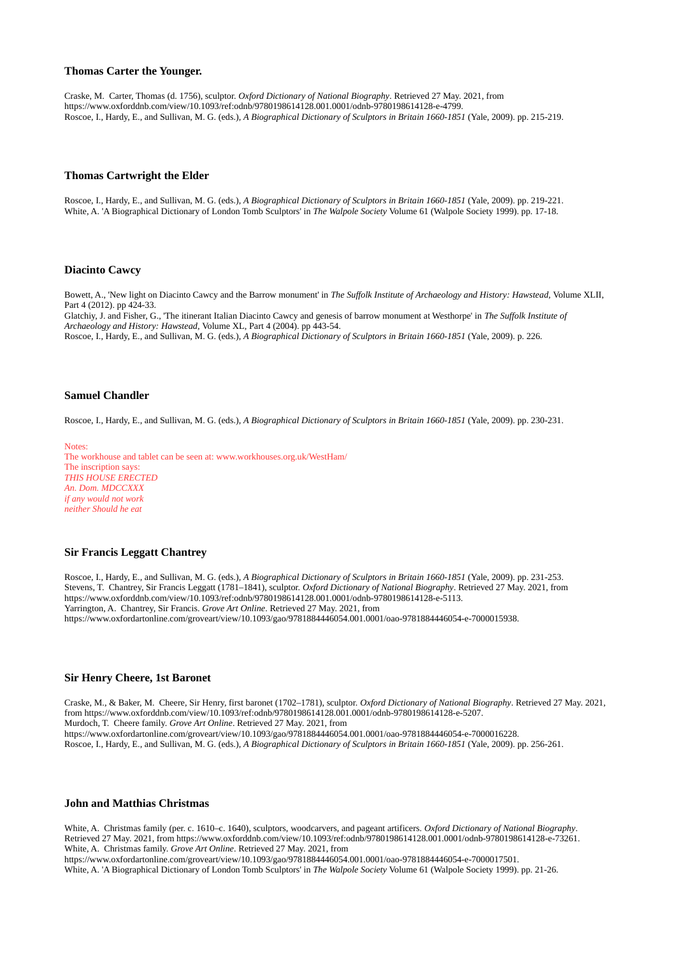#### **Thomas Carter the Younger.**

Craske, M. Carter, Thomas (d. 1756), sculptor. *Oxford Dictionary of National Biography*. Retrieved 27 May. 2021, from https://www.oxforddnb.com/view/10.1093/ref:odnb/9780198614128.001.0001/odnb-9780198614128-e-4799. Roscoe, I., Hardy, E., and Sullivan, M. G. (eds.), *A Biographical Dictionary of Sculptors in Britain 1660-1851* (Yale, 2009). pp. 215-219.

#### **Thomas Cartwright the Elder**

Roscoe, I., Hardy, E., and Sullivan, M. G. (eds.), *A Biographical Dictionary of Sculptors in Britain 1660-1851* (Yale, 2009). pp. 219-221. White, A. 'A Biographical Dictionary of London Tomb Sculptors' in *The Walpole Society* Volume 61 (Walpole Society 1999). pp. 17-18.

# **Diacinto Cawcy**

Bowett, A., 'New light on Diacinto Cawcy and the Barrow monument' in *The Suffolk Institute of Archaeology and History: Hawstead,* Volume XLII, Part 4 (2012). pp 424-33.

Glatchiy, J. and Fisher, G., 'The itinerant Italian Diacinto Cawcy and genesis of barrow monument at Westhorpe' in *The Suffolk Institute of Archaeology and History: Hawstead,* Volume XL, Part 4 (2004). pp 443-54.

Roscoe, I., Hardy, E., and Sullivan, M. G. (eds.), *A Biographical Dictionary of Sculptors in Britain 1660-1851* (Yale, 2009). p. 226.

# **Samuel Chandler**

Roscoe, I., Hardy, E., and Sullivan, M. G. (eds.), *A Biographical Dictionary of Sculptors in Britain 1660-1851* (Yale, 2009). pp. 230-231.

Notes: The workhouse and tablet can be seen at: www.workhouses.org.uk/WestHam/ The inscription says: *THIS HOUSE ERECTED An. Dom. MDCCXXX if any would not work neither Should he eat*

# **Sir Francis Leggatt Chantrey**

Roscoe, I., Hardy, E., and Sullivan, M. G. (eds.), *A Biographical Dictionary of Sculptors in Britain 1660-1851* (Yale, 2009). pp. 231-253. Stevens, T. Chantrey, Sir Francis Leggatt (1781–1841), sculptor. *Oxford Dictionary of National Biography*. Retrieved 27 May. 2021, from https://www.oxforddnb.com/view/10.1093/ref:odnb/9780198614128.001.0001/odnb-9780198614128-e-5113. Yarrington, A. Chantrey, Sir Francis. *Grove Art Online*. Retrieved 27 May. 2021, from https://www.oxfordartonline.com/groveart/view/10.1093/gao/9781884446054.001.0001/oao-9781884446054-e-7000015938.

#### **Sir Henry Cheere, 1st Baronet**

Craske, M., & Baker, M. Cheere, Sir Henry, first baronet (1702–1781), sculptor. *Oxford Dictionary of National Biography*. Retrieved 27 May. 2021, from https://www.oxforddnb.com/view/10.1093/ref:odnb/9780198614128.001.0001/odnb-9780198614128-e-5207. Murdoch, T. Cheere family. *Grove Art Online*. Retrieved 27 May. 2021, from https://www.oxfordartonline.com/groveart/view/10.1093/gao/9781884446054.001.0001/oao-9781884446054-e-7000016228. Roscoe, I., Hardy, E., and Sullivan, M. G. (eds.), *A Biographical Dictionary of Sculptors in Britain 1660-1851* (Yale, 2009). pp. 256-261.

# **John and Matthias Christmas**

White, A. Christmas family (per. c. 1610–c. 1640), sculptors, woodcarvers, and pageant artificers. *Oxford Dictionary of National Biography*. Retrieved 27 May. 2021, from https://www.oxforddnb.com/view/10.1093/ref:odnb/9780198614128.001.0001/odnb-9780198614128-e-73261. White, A. Christmas family. *Grove Art Online*. Retrieved 27 May. 2021, from https://www.oxfordartonline.com/groveart/view/10.1093/gao/9781884446054.001.0001/oao-9781884446054-e-7000017501. White, A. 'A Biographical Dictionary of London Tomb Sculptors' in *The Walpole Society* Volume 61 (Walpole Society 1999). pp. 21-26.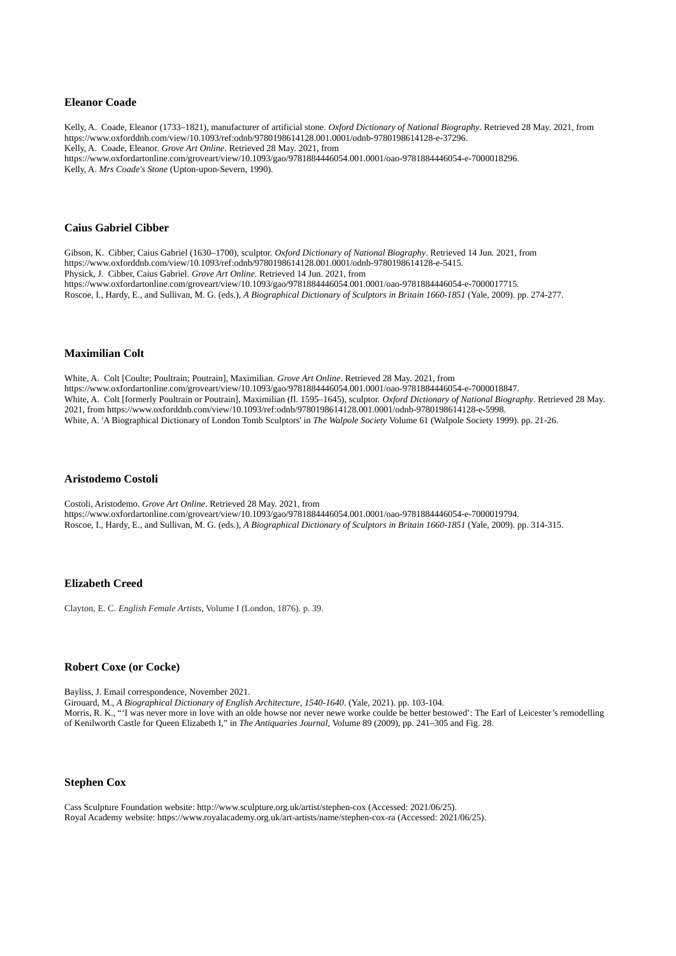### **Eleanor Coade**

Kelly, A. Coade, Eleanor (1733–1821), manufacturer of artificial stone. *Oxford Dictionary of National Biography*. Retrieved 28 May. 2021, from https://www.oxforddnb.com/view/10.1093/ref:odnb/9780198614128.001.0001/odnb-9780198614128-e-37296. Kelly, A. Coade, Eleanor. *Grove Art Online*. Retrieved 28 May. 2021, from https://www.oxfordartonline.com/groveart/view/10.1093/gao/9781884446054.001.0001/oao-9781884446054-e-7000018296. Kelly, A. *Mrs Coade's Stone* (Upton-upon-Severn, 1990).

### **Caius Gabriel Cibber**

Gibson, K. Cibber, Caius Gabriel (1630–1700), sculptor. *Oxford Dictionary of National Biography*. Retrieved 14 Jun. 2021, from https://www.oxforddnb.com/view/10.1093/ref:odnb/9780198614128.001.0001/odnb-9780198614128-e-5415. Physick, J. Cibber, Caius Gabriel. *Grove Art Online*. Retrieved 14 Jun. 2021, from https://www.oxfordartonline.com/groveart/view/10.1093/gao/9781884446054.001.0001/oao-9781884446054-e-7000017715. Roscoe, I., Hardy, E., and Sullivan, M. G. (eds.), *A Biographical Dictionary of Sculptors in Britain 1660-1851* (Yale, 2009). pp. 274-277.

# **Maximilian Colt**

White, A. Colt [Coulte; Poultrain; Poutrain], Maximilian. *Grove Art Online*. Retrieved 28 May. 2021, from https://www.oxfordartonline.com/groveart/view/10.1093/gao/9781884446054.001.0001/oao-9781884446054-e-7000018847. White, A. Colt [formerly Poultrain or Poutrain], Maximilian (fl. 1595–1645), sculptor. *Oxford Dictionary of National Biography*. Retrieved 28 May. 2021, from https://www.oxforddnb.com/view/10.1093/ref:odnb/9780198614128.001.0001/odnb-9780198614128-e-5998. White, A. 'A Biographical Dictionary of London Tomb Sculptors' in *The Walpole Society* Volume 61 (Walpole Society 1999). pp. 21-26.

# **Aristodemo Costoli**

Costoli, Aristodemo. *Grove Art Online*. Retrieved 28 May. 2021, from https://www.oxfordartonline.com/groveart/view/10.1093/gao/9781884446054.001.0001/oao-9781884446054-e-7000019794. Roscoe, I., Hardy, E., and Sullivan, M. G. (eds.), *A Biographical Dictionary of Sculptors in Britain 1660-1851* (Yale, 2009). pp. 314-315.

# **Elizabeth Creed**

Clayton, E. C. *English Female Artists*, Volume I (London, 1876). p. 39.

# **Robert Coxe (or Cocke)**

Bayliss, J. Email correspondence, November 2021.

Girouard, M., *A Biographical Dictionary of English Architecture, 1540-1640*. (Yale, 2021). pp. 103-104. Morris, R. K., "'I was never more in love with an olde howse nor never newe worke coulde be better bestowed': The Earl of Leicester's remodelling of Kenilworth Castle for Queen Elizabeth I," in *The Antiquaries Journal*, Volume 89 (2009), pp. 241–305 and Fig. 28.

# **Stephen Cox**

Cass Sculpture Foundation website: http://www.sculpture.org.uk/artist/stephen-cox (Accessed: 2021/06/25). Royal Academy website: https://www.royalacademy.org.uk/art-artists/name/stephen-cox-ra (Accessed: 2021/06/25).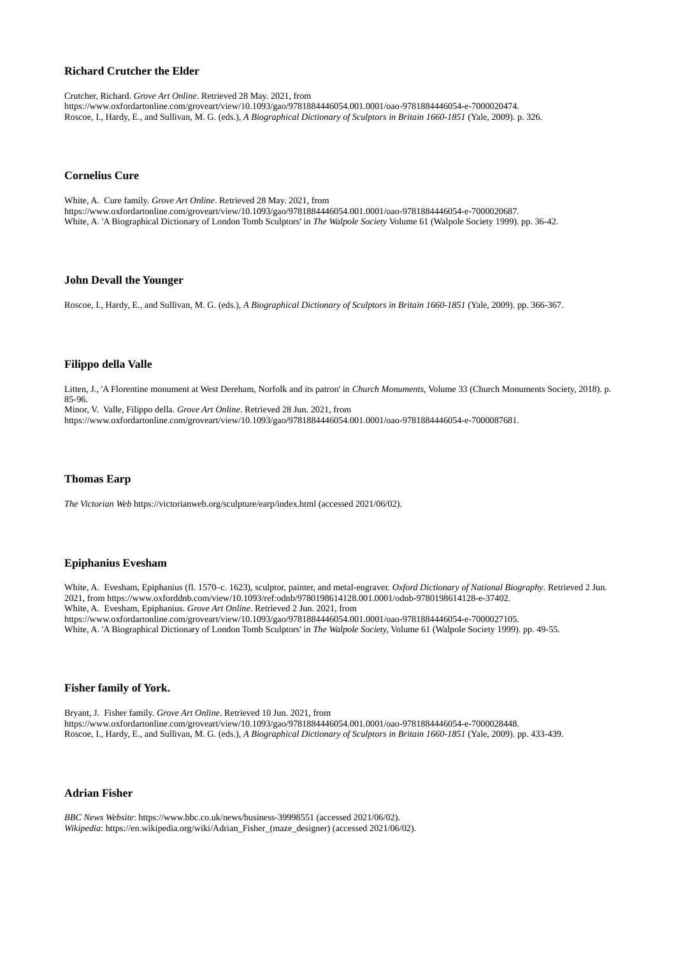# **Richard Crutcher the Elder**

Crutcher, Richard. *Grove Art Online*. Retrieved 28 May. 2021, from https://www.oxfordartonline.com/groveart/view/10.1093/gao/9781884446054.001.0001/oao-9781884446054-e-7000020474. Roscoe, I., Hardy, E., and Sullivan, M. G. (eds.), *A Biographical Dictionary of Sculptors in Britain 1660-1851* (Yale, 2009). p. 326.

# **Cornelius Cure**

White, A. Cure family. *Grove Art Online*. Retrieved 28 May. 2021, from https://www.oxfordartonline.com/groveart/view/10.1093/gao/9781884446054.001.0001/oao-9781884446054-e-7000020687. White, A. 'A Biographical Dictionary of London Tomb Sculptors' in *The Walpole Society* Volume 61 (Walpole Society 1999). pp. 36-42.

# **John Devall the Younger**

Roscoe, I., Hardy, E., and Sullivan, M. G. (eds.), *A Biographical Dictionary of Sculptors in Britain 1660-1851* (Yale, 2009). pp. 366-367.

# **Filippo della Valle**

Litten, J., 'A Florentine monument at West Dereham, Norfolk and its patron' in *Church Monuments*, Volume 33 (Church Monuments Society, 2018). p. 85-96.

Minor, V. Valle, Filippo della. *Grove Art Online*. Retrieved 28 Jun. 2021, from https://www.oxfordartonline.com/groveart/view/10.1093/gao/9781884446054.001.0001/oao-9781884446054-e-7000087681.

# **Thomas Earp**

*The Victorian Web* https://victorianweb.org/sculpture/earp/index.html (accessed 2021/06/02).

# **Epiphanius Evesham**

White, A. Evesham, Epiphanius (fl. 1570–c. 1623), sculptor, painter, and metal-engraver. *Oxford Dictionary of National Biography*. Retrieved 2 Jun. 2021, from https://www.oxforddnb.com/view/10.1093/ref:odnb/9780198614128.001.0001/odnb-9780198614128-e-37402. White, A. Evesham, Epiphanius. *Grove Art Online*. Retrieved 2 Jun. 2021, from https://www.oxfordartonline.com/groveart/view/10.1093/gao/9781884446054.001.0001/oao-9781884446054-e-7000027105. White, A. 'A Biographical Dictionary of London Tomb Sculptors' in *The Walpole Society,* Volume 61 (Walpole Society 1999). pp. 49-55.

# **Fisher family of York.**

Bryant, J. Fisher family. *Grove Art Online*. Retrieved 10 Jun. 2021, from https://www.oxfordartonline.com/groveart/view/10.1093/gao/9781884446054.001.0001/oao-9781884446054-e-7000028448. Roscoe, I., Hardy, E., and Sullivan, M. G. (eds.), *A Biographical Dictionary of Sculptors in Britain 1660-1851* (Yale, 2009). pp. 433-439.

#### **Adrian Fisher**

*BBC News Website*: https://www.bbc.co.uk/news/business-39998551 (accessed 2021/06/02). *Wikipedia*: https://en.wikipedia.org/wiki/Adrian\_Fisher\_(maze\_designer) (accessed 2021/06/02).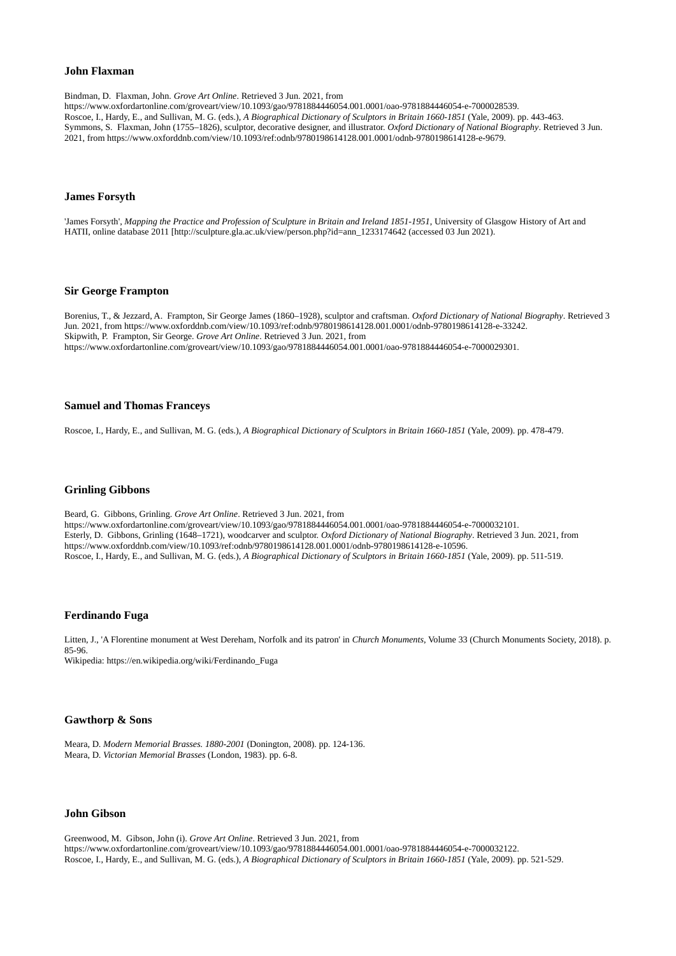# **John Flaxman**

Bindman, D. Flaxman, John. *Grove Art Online*. Retrieved 3 Jun. 2021, from

https://www.oxfordartonline.com/groveart/view/10.1093/gao/9781884446054.001.0001/oao-9781884446054-e-7000028539. Roscoe, I., Hardy, E., and Sullivan, M. G. (eds.), *A Biographical Dictionary of Sculptors in Britain 1660-1851* (Yale, 2009). pp. 443-463. Symmons, S. Flaxman, John (1755–1826), sculptor, decorative designer, and illustrator. *Oxford Dictionary of National Biography*. Retrieved 3 Jun. 2021, from https://www.oxforddnb.com/view/10.1093/ref:odnb/9780198614128.001.0001/odnb-9780198614128-e-9679.

#### **James Forsyth**

'James Forsyth', *Mapping the Practice and Profession of Sculpture in Britain and Ireland 1851-1951*, University of Glasgow History of Art and HATII, online database 2011 [http://sculpture.gla.ac.uk/view/person.php?id=ann\_1233174642 (accessed 03 Jun 2021).

# **Sir George Frampton**

Borenius, T., & Jezzard, A. Frampton, Sir George James (1860–1928), sculptor and craftsman. *Oxford Dictionary of National Biography*. Retrieved 3 Jun. 2021, from https://www.oxforddnb.com/view/10.1093/ref:odnb/9780198614128.001.0001/odnb-9780198614128-e-33242. Skipwith, P. Frampton, Sir George. *Grove Art Online*. Retrieved 3 Jun. 2021, from https://www.oxfordartonline.com/groveart/view/10.1093/gao/9781884446054.001.0001/oao-9781884446054-e-7000029301.

# **Samuel and Thomas Franceys**

Roscoe, I., Hardy, E., and Sullivan, M. G. (eds.), *A Biographical Dictionary of Sculptors in Britain 1660-1851* (Yale, 2009). pp. 478-479.

# **Grinling Gibbons**

Beard, G. Gibbons, Grinling. *Grove Art Online*. Retrieved 3 Jun. 2021, from https://www.oxfordartonline.com/groveart/view/10.1093/gao/9781884446054.001.0001/oao-9781884446054-e-7000032101. Esterly, D. Gibbons, Grinling (1648–1721), woodcarver and sculptor. *Oxford Dictionary of National Biography*. Retrieved 3 Jun. 2021, from https://www.oxforddnb.com/view/10.1093/ref:odnb/9780198614128.001.0001/odnb-9780198614128-e-10596. Roscoe, I., Hardy, E., and Sullivan, M. G. (eds.), *A Biographical Dictionary of Sculptors in Britain 1660-1851* (Yale, 2009). pp. 511-519.

# **Ferdinando Fuga**

Litten, J., 'A Florentine monument at West Dereham, Norfolk and its patron' in *Church Monuments*, Volume 33 (Church Monuments Society, 2018). p. 85-96.

Wikipedia: https://en.wikipedia.org/wiki/Ferdinando\_Fuga

# **Gawthorp & Sons**

Meara, D. *Modern Memorial Brasses. 1880-2001* (Donington, 2008). pp. 124-136. Meara, D. *Victorian Memorial Brasses* (London, 1983). pp. 6-8.

# **John Gibson**

Greenwood, M. Gibson, John (i). *Grove Art Online*. Retrieved 3 Jun. 2021, from https://www.oxfordartonline.com/groveart/view/10.1093/gao/9781884446054.001.0001/oao-9781884446054-e-7000032122. Roscoe, I., Hardy, E., and Sullivan, M. G. (eds.), *A Biographical Dictionary of Sculptors in Britain 1660-1851* (Yale, 2009). pp. 521-529.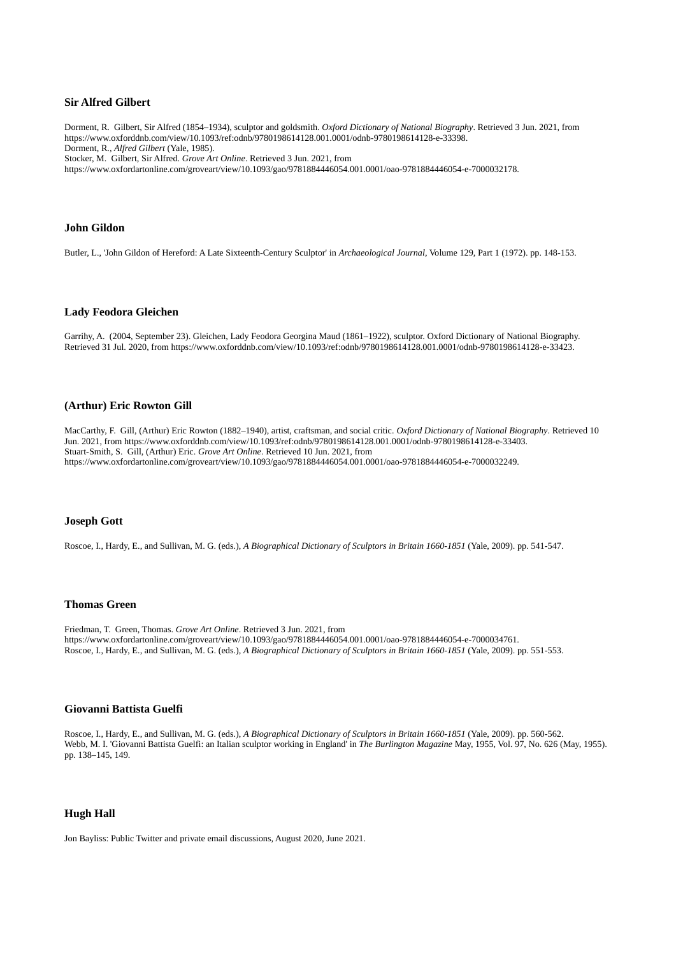# **Sir Alfred Gilbert**

Dorment, R. Gilbert, Sir Alfred (1854–1934), sculptor and goldsmith. *Oxford Dictionary of National Biography*. Retrieved 3 Jun. 2021, from https://www.oxforddnb.com/view/10.1093/ref:odnb/9780198614128.001.0001/odnb-9780198614128-e-33398. Dorment, R., *Alfred Gilbert* (Yale, 1985).

Stocker, M. Gilbert, Sir Alfred. *Grove Art Online*. Retrieved 3 Jun. 2021, from

https://www.oxfordartonline.com/groveart/view/10.1093/gao/9781884446054.001.0001/oao-9781884446054-e-7000032178.

#### **John Gildon**

Butler, L., 'John Gildon of Hereford: A Late Sixteenth-Century Sculptor' in *Archaeological Journal*, Volume 129, Part 1 (1972). pp. 148-153.

#### **Lady Feodora Gleichen**

Garrihy, A. (2004, September 23). Gleichen, Lady Feodora Georgina Maud (1861–1922), sculptor. Oxford Dictionary of National Biography. Retrieved 31 Jul. 2020, from https://www.oxforddnb.com/view/10.1093/ref:odnb/9780198614128.001.0001/odnb-9780198614128-e-33423.

# **(Arthur) Eric Rowton Gill**

MacCarthy, F. Gill, (Arthur) Eric Rowton (1882–1940), artist, craftsman, and social critic. *Oxford Dictionary of National Biography*. Retrieved 10 Jun. 2021, from https://www.oxforddnb.com/view/10.1093/ref:odnb/9780198614128.001.0001/odnb-9780198614128-e-33403. Stuart-Smith, S. Gill, (Arthur) Eric. *Grove Art Online*. Retrieved 10 Jun. 2021, from https://www.oxfordartonline.com/groveart/view/10.1093/gao/9781884446054.001.0001/oao-9781884446054-e-7000032249.

#### **Joseph Gott**

Roscoe, I., Hardy, E., and Sullivan, M. G. (eds.), *A Biographical Dictionary of Sculptors in Britain 1660-1851* (Yale, 2009). pp. 541-547.

#### **Thomas Green**

Friedman, T. Green, Thomas. *Grove Art Online*. Retrieved 3 Jun. 2021, from https://www.oxfordartonline.com/groveart/view/10.1093/gao/9781884446054.001.0001/oao-9781884446054-e-7000034761. Roscoe, I., Hardy, E., and Sullivan, M. G. (eds.), *A Biographical Dictionary of Sculptors in Britain 1660-1851* (Yale, 2009). pp. 551-553.

#### **Giovanni Battista Guelfi**

Roscoe, I., Hardy, E., and Sullivan, M. G. (eds.), *A Biographical Dictionary of Sculptors in Britain 1660-1851* (Yale, 2009). pp. 560-562. Webb, M. I. 'Giovanni Battista Guelfi: an Italian sculptor working in England' in *The Burlington Magazine* May, 1955, Vol. 97, No. 626 (May, 1955). pp. 138–145, 149.

# **Hugh Hall**

Jon Bayliss: Public Twitter and private email discussions, August 2020, June 2021.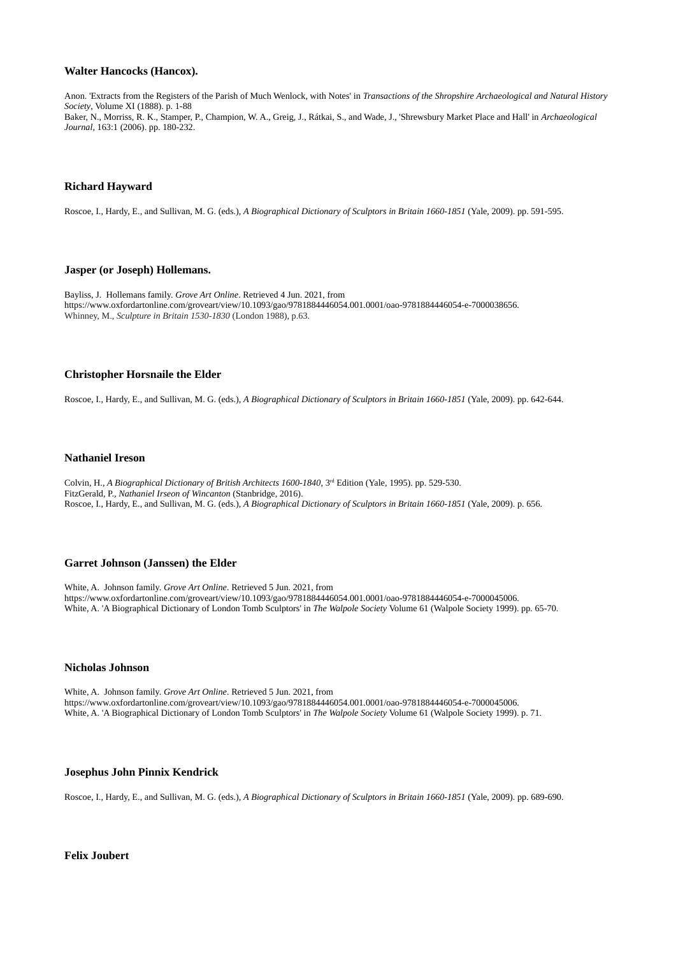# **Walter Hancocks (Hancox).**

Anon. 'Extracts from the Registers of the Parish of Much Wenlock, with Notes' in *Transactions of the Shropshire Archaeological and Natural History Society*, Volume XI (1888). p. 1-88 Baker, N., Morriss, R. K., Stamper, P., Champion, W. A., Greig, J., Rátkai, S., and Wade, J., 'Shrewsbury Market Place and Hall' in *Archaeological Journal*, 163:1 (2006). pp. 180-232.

# **Richard Hayward**

Roscoe, I., Hardy, E., and Sullivan, M. G. (eds.), *A Biographical Dictionary of Sculptors in Britain 1660-1851* (Yale, 2009). pp. 591-595.

# **Jasper (or Joseph) Hollemans.**

Bayliss, J. Hollemans family. *Grove Art Online*. Retrieved 4 Jun. 2021, from https://www.oxfordartonline.com/groveart/view/10.1093/gao/9781884446054.001.0001/oao-9781884446054-e-7000038656. Whinney, M., *Sculpture in Britain 1530-1830* (London 1988), p.63.

# **Christopher Horsnaile the Elder**

Roscoe, I., Hardy, E., and Sullivan, M. G. (eds.), *A Biographical Dictionary of Sculptors in Britain 1660-1851* (Yale, 2009). pp. 642-644.

#### **Nathaniel Ireson**

Colvin, H., *A Biographical Dictionary of British Architects 1600-1840*, 3rd Edition (Yale, 1995). pp. 529-530. FitzGerald, P., *Nathaniel Irseon of Wincanton* (Stanbridge, 2016). Roscoe, I., Hardy, E., and Sullivan, M. G. (eds.), *A Biographical Dictionary of Sculptors in Britain 1660-1851* (Yale, 2009). p. 656.

# **Garret Johnson (Janssen) the Elder**

White, A. Johnson family. *Grove Art Online*. Retrieved 5 Jun. 2021, from https://www.oxfordartonline.com/groveart/view/10.1093/gao/9781884446054.001.0001/oao-9781884446054-e-7000045006. White, A. 'A Biographical Dictionary of London Tomb Sculptors' in *The Walpole Society* Volume 61 (Walpole Society 1999). pp. 65-70.

# **Nicholas Johnson**

White, A. Johnson family. *Grove Art Online*. Retrieved 5 Jun. 2021, from https://www.oxfordartonline.com/groveart/view/10.1093/gao/9781884446054.001.0001/oao-9781884446054-e-7000045006. White, A. 'A Biographical Dictionary of London Tomb Sculptors' in *The Walpole Society* Volume 61 (Walpole Society 1999). p. 71.

# **Josephus John Pinnix Kendrick**

Roscoe, I., Hardy, E., and Sullivan, M. G. (eds.), *A Biographical Dictionary of Sculptors in Britain 1660-1851* (Yale, 2009). pp. 689-690.

**Felix Joubert**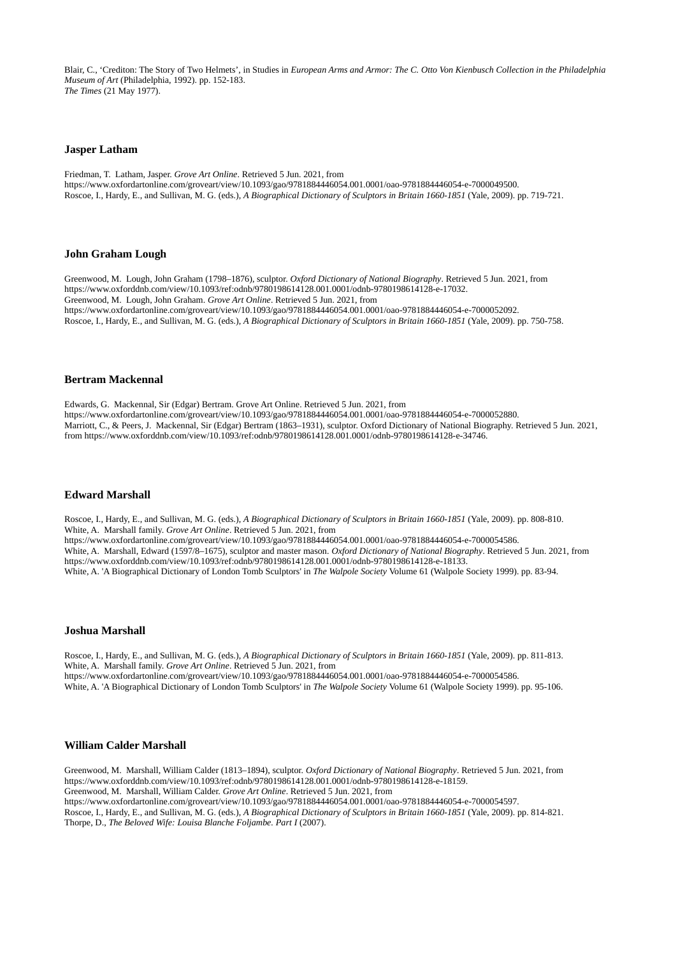Blair, C., 'Crediton: The Story of Two Helmets', in Studies in *European Arms and Armor: The C. Otto Von Kienbusch Collection in the Philadelphia Museum of Art* (Philadelphia, 1992). pp. 152-183. *The Times* (21 May 1977).

# **Jasper Latham**

Friedman, T. Latham, Jasper. *Grove Art Online*. Retrieved 5 Jun. 2021, from https://www.oxfordartonline.com/groveart/view/10.1093/gao/9781884446054.001.0001/oao-9781884446054-e-7000049500. Roscoe, I., Hardy, E., and Sullivan, M. G. (eds.), *A Biographical Dictionary of Sculptors in Britain 1660-1851* (Yale, 2009). pp. 719-721.

#### **John Graham Lough**

Greenwood, M. Lough, John Graham (1798–1876), sculptor. *Oxford Dictionary of National Biography*. Retrieved 5 Jun. 2021, from https://www.oxforddnb.com/view/10.1093/ref:odnb/9780198614128.001.0001/odnb-9780198614128-e-17032. Greenwood, M. Lough, John Graham. *Grove Art Online*. Retrieved 5 Jun. 2021, from https://www.oxfordartonline.com/groveart/view/10.1093/gao/9781884446054.001.0001/oao-9781884446054-e-7000052092. Roscoe, I., Hardy, E., and Sullivan, M. G. (eds.), *A Biographical Dictionary of Sculptors in Britain 1660-1851* (Yale, 2009). pp. 750-758.

# **Bertram Mackennal**

Edwards, G. Mackennal, Sir (Edgar) Bertram. Grove Art Online. Retrieved 5 Jun. 2021, from https://www.oxfordartonline.com/groveart/view/10.1093/gao/9781884446054.001.0001/oao-9781884446054-e-7000052880. Marriott, C., & Peers, J. Mackennal, Sir (Edgar) Bertram (1863–1931), sculptor. Oxford Dictionary of National Biography. Retrieved 5 Jun. 2021, from https://www.oxforddnb.com/view/10.1093/ref:odnb/9780198614128.001.0001/odnb-9780198614128-e-34746.

# **Edward Marshall**

Roscoe, I., Hardy, E., and Sullivan, M. G. (eds.), *A Biographical Dictionary of Sculptors in Britain 1660-1851* (Yale, 2009). pp. 808-810. White, A. Marshall family. *Grove Art Online*. Retrieved 5 Jun. 2021, from https://www.oxfordartonline.com/groveart/view/10.1093/gao/9781884446054.001.0001/oao-9781884446054-e-7000054586. White, A. Marshall, Edward (1597/8–1675), sculptor and master mason. *Oxford Dictionary of National Biography*. Retrieved 5 Jun. 2021, from https://www.oxforddnb.com/view/10.1093/ref:odnb/9780198614128.001.0001/odnb-9780198614128-e-18133. White, A. 'A Biographical Dictionary of London Tomb Sculptors' in *The Walpole Society* Volume 61 (Walpole Society 1999). pp. 83-94.

### **Joshua Marshall**

Roscoe, I., Hardy, E., and Sullivan, M. G. (eds.), *A Biographical Dictionary of Sculptors in Britain 1660-1851* (Yale, 2009). pp. 811-813. White, A. Marshall family. *Grove Art Online*. Retrieved 5 Jun. 2021, from https://www.oxfordartonline.com/groveart/view/10.1093/gao/9781884446054.001.0001/oao-9781884446054-e-7000054586. White, A. 'A Biographical Dictionary of London Tomb Sculptors' in *The Walpole Society* Volume 61 (Walpole Society 1999). pp. 95-106.

# **William Calder Marshall**

Greenwood, M. Marshall, William Calder (1813–1894), sculptor. *Oxford Dictionary of National Biography*. Retrieved 5 Jun. 2021, from https://www.oxforddnb.com/view/10.1093/ref:odnb/9780198614128.001.0001/odnb-9780198614128-e-18159. Greenwood, M. Marshall, William Calder. *Grove Art Online*. Retrieved 5 Jun. 2021, from

https://www.oxfordartonline.com/groveart/view/10.1093/gao/9781884446054.001.0001/oao-9781884446054-e-7000054597.

Roscoe, I., Hardy, E., and Sullivan, M. G. (eds.), *A Biographical Dictionary of Sculptors in Britain 1660-1851* (Yale, 2009). pp. 814-821. Thorpe, D., *The Beloved Wife: Louisa Blanche Foljambe. Part I* (2007).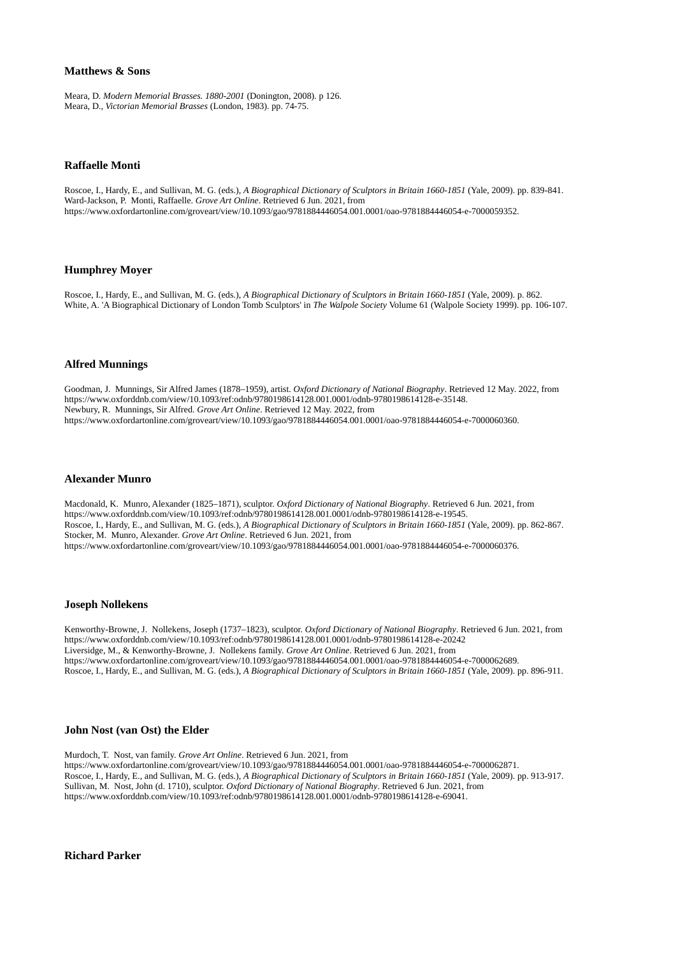# **Matthews & Sons**

Meara, D. *Modern Memorial Brasses. 1880-2001* (Donington, 2008). p 126. Meara, D., *Victorian Memorial Brasses* (London, 1983). pp. 74-75.

#### **Raffaelle Monti**

Roscoe, I., Hardy, E., and Sullivan, M. G. (eds.), *A Biographical Dictionary of Sculptors in Britain 1660-1851* (Yale, 2009). pp. 839-841. Ward-Jackson, P. Monti, Raffaelle. *Grove Art Online*. Retrieved 6 Jun. 2021, from https://www.oxfordartonline.com/groveart/view/10.1093/gao/9781884446054.001.0001/oao-9781884446054-e-7000059352.

# **Humphrey Moyer**

Roscoe, I., Hardy, E., and Sullivan, M. G. (eds.), *A Biographical Dictionary of Sculptors in Britain 1660-1851* (Yale, 2009). p. 862. White, A. 'A Biographical Dictionary of London Tomb Sculptors' in *The Walpole Society* Volume 61 (Walpole Society 1999). pp. 106-107.

#### **Alfred Munnings**

Goodman, J. Munnings, Sir Alfred James (1878–1959), artist. *Oxford Dictionary of National Biography*. Retrieved 12 May. 2022, from https://www.oxforddnb.com/view/10.1093/ref:odnb/9780198614128.001.0001/odnb-9780198614128-e-35148. Newbury, R. Munnings, Sir Alfred. *Grove Art Online*. Retrieved 12 May. 2022, from https://www.oxfordartonline.com/groveart/view/10.1093/gao/9781884446054.001.0001/oao-9781884446054-e-7000060360.

# **Alexander Munro**

Macdonald, K. Munro, Alexander (1825–1871), sculptor. *Oxford Dictionary of National Biography*. Retrieved 6 Jun. 2021, from https://www.oxforddnb.com/view/10.1093/ref:odnb/9780198614128.001.0001/odnb-9780198614128-e-19545. Roscoe, I., Hardy, E., and Sullivan, M. G. (eds.), *A Biographical Dictionary of Sculptors in Britain 1660-1851* (Yale, 2009). pp. 862-867. Stocker, M. Munro, Alexander. *Grove Art Online*. Retrieved 6 Jun. 2021, from https://www.oxfordartonline.com/groveart/view/10.1093/gao/9781884446054.001.0001/oao-9781884446054-e-7000060376.

#### **Joseph Nollekens**

Kenworthy-Browne, J. Nollekens, Joseph (1737–1823), sculptor. *Oxford Dictionary of National Biography*. Retrieved 6 Jun. 2021, from https://www.oxforddnb.com/view/10.1093/ref:odnb/9780198614128.001.0001/odnb-9780198614128-e-20242 Liversidge, M., & Kenworthy-Browne, J. Nollekens family. *Grove Art Online*. Retrieved 6 Jun. 2021, from https://www.oxfordartonline.com/groveart/view/10.1093/gao/9781884446054.001.0001/oao-9781884446054-e-7000062689. Roscoe, I., Hardy, E., and Sullivan, M. G. (eds.), *A Biographical Dictionary of Sculptors in Britain 1660-1851* (Yale, 2009). pp. 896-911.

#### **John Nost (van Ost) the Elder**

Murdoch, T. Nost, van family. *Grove Art Online*. Retrieved 6 Jun. 2021, from https://www.oxfordartonline.com/groveart/view/10.1093/gao/9781884446054.001.0001/oao-9781884446054-e-7000062871. Roscoe, I., Hardy, E., and Sullivan, M. G. (eds.), *A Biographical Dictionary of Sculptors in Britain 1660-1851* (Yale, 2009). pp. 913-917. Sullivan, M. Nost, John (d. 1710), sculptor. *Oxford Dictionary of National Biography*. Retrieved 6 Jun. 2021, from https://www.oxforddnb.com/view/10.1093/ref:odnb/9780198614128.001.0001/odnb-9780198614128-e-69041.

**Richard Parker**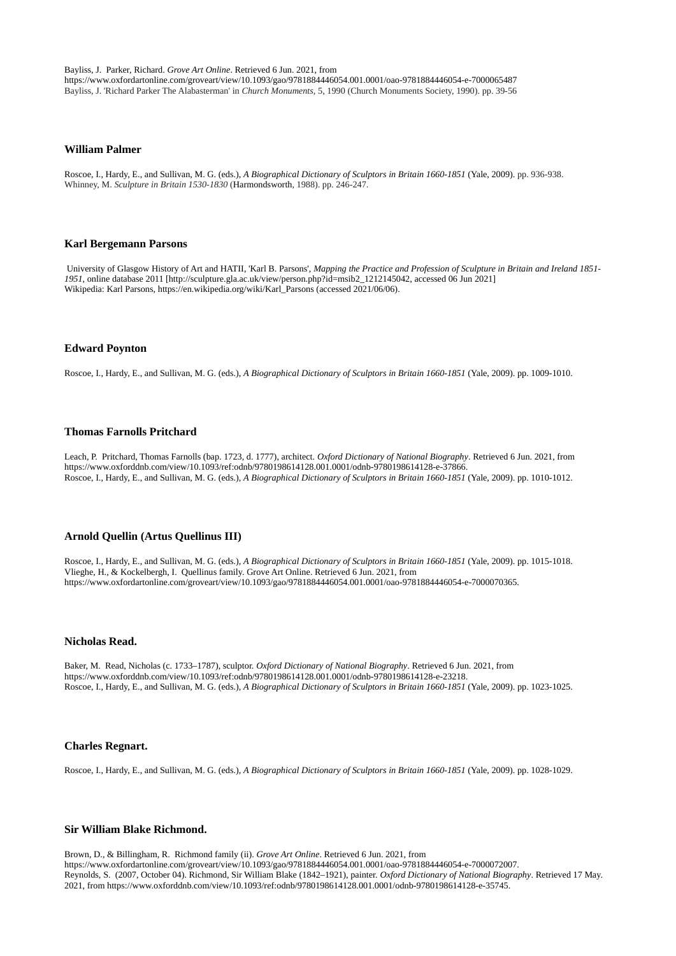Bayliss, J. Parker, Richard. *Grove Art Online*. Retrieved 6 Jun. 2021, from https://www.oxfordartonline.com/groveart/view/10.1093/gao/9781884446054.001.0001/oao-9781884446054-e-7000065487 Bayliss, J. 'Richard Parker The Alabasterman' in *Church Monuments,* 5, 1990 (Church Monuments Society, 1990). pp. 39-56

#### **William Palmer**

Roscoe, I., Hardy, E., and Sullivan, M. G. (eds.), *A Biographical Dictionary of Sculptors in Britain 1660-1851* (Yale, 2009). pp. 936-938. Whinney, M. *Sculpture in Britain 1530-1830* (Harmondsworth, 1988). pp. 246-247.

#### **Karl Bergemann Parsons**

 University of Glasgow History of Art and HATII, 'Karl B. Parsons', *Mapping the Practice and Profession of Sculpture in Britain and Ireland 1851- 1951*, online database 2011 [http://sculpture.gla.ac.uk/view/person.php?id=msib2\_1212145042, accessed 06 Jun 2021] Wikipedia: Karl Parsons, https://en.wikipedia.org/wiki/Karl\_Parsons (accessed 2021/06/06).

### **Edward Poynton**

Roscoe, I., Hardy, E., and Sullivan, M. G. (eds.), *A Biographical Dictionary of Sculptors in Britain 1660-1851* (Yale, 2009). pp. 1009-1010.

#### **Thomas Farnolls Pritchard**

Leach, P. Pritchard, Thomas Farnolls (bap. 1723, d. 1777), architect. *Oxford Dictionary of National Biography*. Retrieved 6 Jun. 2021, from https://www.oxforddnb.com/view/10.1093/ref:odnb/9780198614128.001.0001/odnb-9780198614128-e-37866. Roscoe, I., Hardy, E., and Sullivan, M. G. (eds.), *A Biographical Dictionary of Sculptors in Britain 1660-1851* (Yale, 2009). pp. 1010-1012.

#### **Arnold Quellin (Artus Quellinus III)**

Roscoe, I., Hardy, E., and Sullivan, M. G. (eds.), *A Biographical Dictionary of Sculptors in Britain 1660-1851* (Yale, 2009). pp. 1015-1018. Vlieghe, H., & Kockelbergh, I. Quellinus family. Grove Art Online. Retrieved 6 Jun. 2021, from https://www.oxfordartonline.com/groveart/view/10.1093/gao/9781884446054.001.0001/oao-9781884446054-e-7000070365.

# **Nicholas Read.**

Baker, M. Read, Nicholas (c. 1733–1787), sculptor. *Oxford Dictionary of National Biography*. Retrieved 6 Jun. 2021, from https://www.oxforddnb.com/view/10.1093/ref:odnb/9780198614128.001.0001/odnb-9780198614128-e-23218. Roscoe, I., Hardy, E., and Sullivan, M. G. (eds.), *A Biographical Dictionary of Sculptors in Britain 1660-1851* (Yale, 2009). pp. 1023-1025.

### **Charles Regnart.**

Roscoe, I., Hardy, E., and Sullivan, M. G. (eds.), *A Biographical Dictionary of Sculptors in Britain 1660-1851* (Yale, 2009). pp. 1028-1029.

# **Sir William Blake Richmond.**

Brown, D., & Billingham, R. Richmond family (ii). *Grove Art Online*. Retrieved 6 Jun. 2021, from https://www.oxfordartonline.com/groveart/view/10.1093/gao/9781884446054.001.0001/oao-9781884446054-e-7000072007. Reynolds, S. (2007, October 04). Richmond, Sir William Blake (1842–1921), painter. *Oxford Dictionary of National Biography*. Retrieved 17 May. 2021, from https://www.oxforddnb.com/view/10.1093/ref:odnb/9780198614128.001.0001/odnb-9780198614128-e-35745.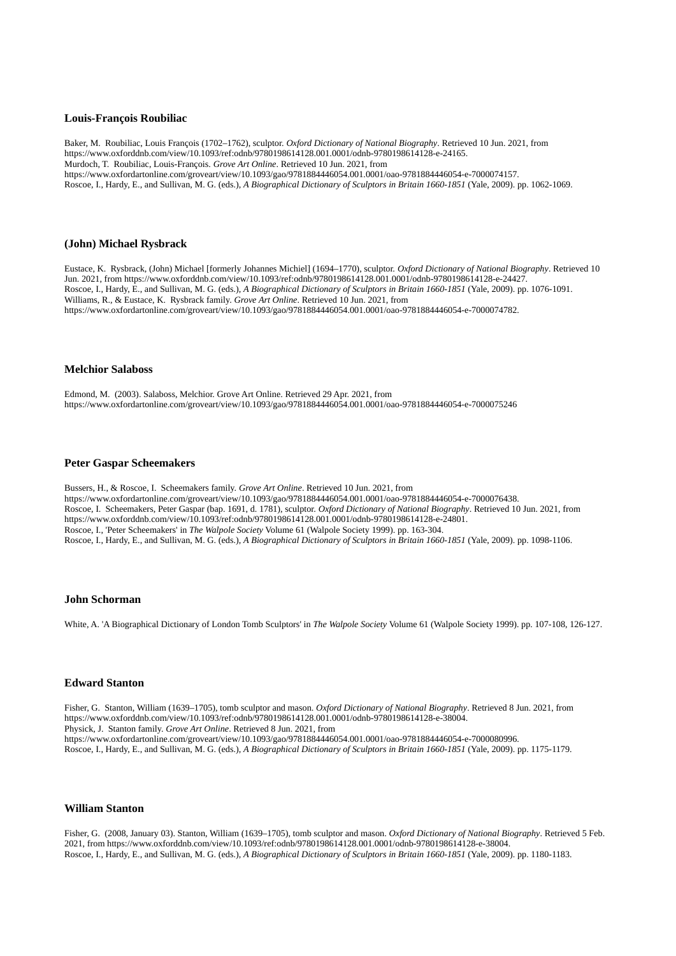# **Louis-François Roubiliac**

Baker, M. Roubiliac, Louis François (1702–1762), sculptor. *Oxford Dictionary of National Biography*. Retrieved 10 Jun. 2021, from https://www.oxforddnb.com/view/10.1093/ref:odnb/9780198614128.001.0001/odnb-9780198614128-e-24165. Murdoch, T. Roubiliac, Louis-François. *Grove Art Online*. Retrieved 10 Jun. 2021, from https://www.oxfordartonline.com/groveart/view/10.1093/gao/9781884446054.001.0001/oao-9781884446054-e-7000074157. Roscoe, I., Hardy, E., and Sullivan, M. G. (eds.), *A Biographical Dictionary of Sculptors in Britain 1660-1851* (Yale, 2009). pp. 1062-1069.

# **(John) Michael Rysbrack**

Eustace, K. Rysbrack, (John) Michael [formerly Johannes Michiel] (1694–1770), sculptor. *Oxford Dictionary of National Biography*. Retrieved 10 Jun. 2021, from https://www.oxforddnb.com/view/10.1093/ref:odnb/9780198614128.001.0001/odnb-9780198614128-e-24427. Roscoe, I., Hardy, E., and Sullivan, M. G. (eds.), *A Biographical Dictionary of Sculptors in Britain 1660-1851* (Yale, 2009). pp. 1076-1091. Williams, R., & Eustace, K. Rysbrack family. *Grove Art Online*. Retrieved 10 Jun. 2021, from https://www.oxfordartonline.com/groveart/view/10.1093/gao/9781884446054.001.0001/oao-9781884446054-e-7000074782.

#### **Melchior Salaboss**

Edmond, M. (2003). Salaboss, Melchior. Grove Art Online. Retrieved 29 Apr. 2021, from https://www.oxfordartonline.com/groveart/view/10.1093/gao/9781884446054.001.0001/oao-9781884446054-e-7000075246

#### **Peter Gaspar Scheemakers**

Bussers, H., & Roscoe, I. Scheemakers family. *Grove Art Online*. Retrieved 10 Jun. 2021, from https://www.oxfordartonline.com/groveart/view/10.1093/gao/9781884446054.001.0001/oao-9781884446054-e-7000076438. Roscoe, I. Scheemakers, Peter Gaspar (bap. 1691, d. 1781), sculptor. *Oxford Dictionary of National Biography*. Retrieved 10 Jun. 2021, from https://www.oxforddnb.com/view/10.1093/ref:odnb/9780198614128.001.0001/odnb-9780198614128-e-24801. Roscoe, I., 'Peter Scheemakers' in *The Walpole Society* Volume 61 (Walpole Society 1999). pp. 163-304. Roscoe, I., Hardy, E., and Sullivan, M. G. (eds.), *A Biographical Dictionary of Sculptors in Britain 1660-1851* (Yale, 2009). pp. 1098-1106.

#### **John Schorman**

White, A. 'A Biographical Dictionary of London Tomb Sculptors' in *The Walpole Society* Volume 61 (Walpole Society 1999). pp. 107-108, 126-127.

### **Edward Stanton**

Fisher, G. Stanton, William (1639–1705), tomb sculptor and mason. *Oxford Dictionary of National Biography*. Retrieved 8 Jun. 2021, from https://www.oxforddnb.com/view/10.1093/ref:odnb/9780198614128.001.0001/odnb-9780198614128-e-38004. Physick, J. Stanton family. *Grove Art Online*. Retrieved 8 Jun. 2021, from https://www.oxfordartonline.com/groveart/view/10.1093/gao/9781884446054.001.0001/oao-9781884446054-e-7000080996. Roscoe, I., Hardy, E., and Sullivan, M. G. (eds.), *A Biographical Dictionary of Sculptors in Britain 1660-1851* (Yale, 2009). pp. 1175-1179.

### **William Stanton**

Fisher, G. (2008, January 03). Stanton, William (1639–1705), tomb sculptor and mason. *Oxford Dictionary of National Biography*. Retrieved 5 Feb. 2021, from https://www.oxforddnb.com/view/10.1093/ref:odnb/9780198614128.001.0001/odnb-9780198614128-e-38004. Roscoe, I., Hardy, E., and Sullivan, M. G. (eds.), *A Biographical Dictionary of Sculptors in Britain 1660-1851* (Yale, 2009). pp. 1180-1183.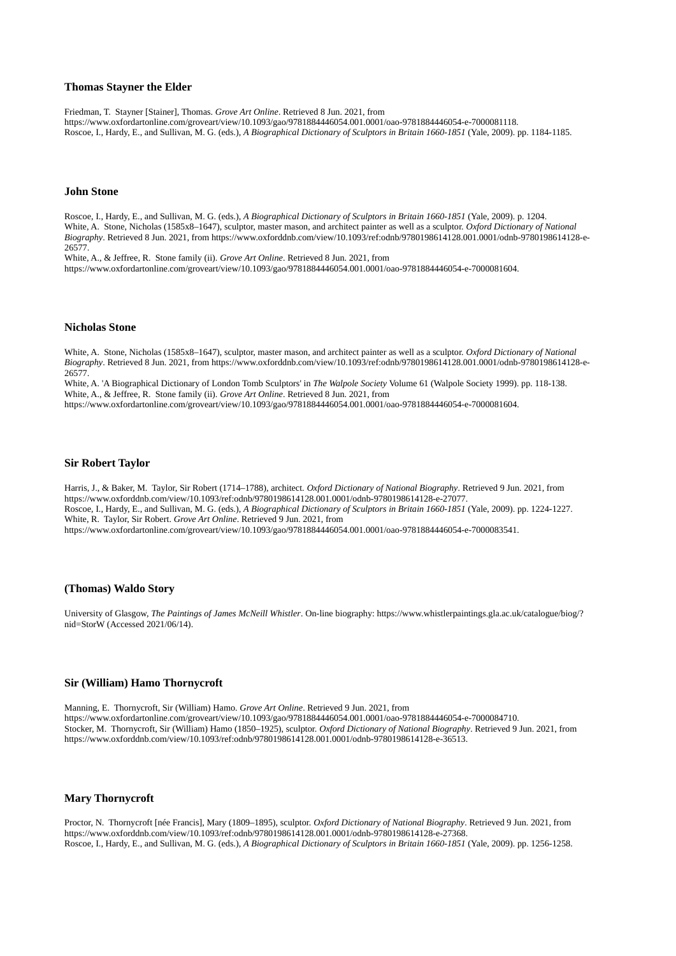#### **Thomas Stayner the Elder**

Friedman, T. Stayner [Stainer], Thomas. *Grove Art Online*. Retrieved 8 Jun. 2021, from https://www.oxfordartonline.com/groveart/view/10.1093/gao/9781884446054.001.0001/oao-9781884446054-e-7000081118. Roscoe, I., Hardy, E., and Sullivan, M. G. (eds.), *A Biographical Dictionary of Sculptors in Britain 1660-1851* (Yale, 2009). pp. 1184-1185.

# **John Stone**

Roscoe, I., Hardy, E., and Sullivan, M. G. (eds.), *A Biographical Dictionary of Sculptors in Britain 1660-1851* (Yale, 2009). p. 1204. White, A. Stone, Nicholas (1585x8–1647), sculptor, master mason, and architect painter as well as a sculptor. *Oxford Dictionary of National Biography*. Retrieved 8 Jun. 2021, from https://www.oxforddnb.com/view/10.1093/ref:odnb/9780198614128.001.0001/odnb-9780198614128-e-26577.

White, A., & Jeffree, R. Stone family (ii). *Grove Art Online*. Retrieved 8 Jun. 2021, from

https://www.oxfordartonline.com/groveart/view/10.1093/gao/9781884446054.001.0001/oao-9781884446054-e-7000081604.

#### **Nicholas Stone**

White, A. Stone, Nicholas (1585x8–1647), sculptor, master mason, and architect painter as well as a sculptor. *Oxford Dictionary of National Biography*. Retrieved 8 Jun. 2021, from https://www.oxforddnb.com/view/10.1093/ref:odnb/9780198614128.001.0001/odnb-9780198614128-e-26577.

White, A. 'A Biographical Dictionary of London Tomb Sculptors' in *The Walpole Society* Volume 61 (Walpole Society 1999). pp. 118-138. White, A., & Jeffree, R. Stone family (ii). *Grove Art Online*. Retrieved 8 Jun. 2021, from

https://www.oxfordartonline.com/groveart/view/10.1093/gao/9781884446054.001.0001/oao-9781884446054-e-7000081604.

#### **Sir Robert Taylor**

Harris, J., & Baker, M. Taylor, Sir Robert (1714–1788), architect. *Oxford Dictionary of National Biography*. Retrieved 9 Jun. 2021, from https://www.oxforddnb.com/view/10.1093/ref:odnb/9780198614128.001.0001/odnb-9780198614128-e-27077. Roscoe, I., Hardy, E., and Sullivan, M. G. (eds.), *A Biographical Dictionary of Sculptors in Britain 1660-1851* (Yale, 2009). pp. 1224-1227. White, R. Taylor, Sir Robert. *Grove Art Online*. Retrieved 9 Jun. 2021, from https://www.oxfordartonline.com/groveart/view/10.1093/gao/9781884446054.001.0001/oao-9781884446054-e-7000083541.

# **(Thomas) Waldo Story**

University of Glasgow, *The Paintings of James McNeill Whistler*. On-line biography: https://www.whistlerpaintings.gla.ac.uk/catalogue/biog/? nid=StorW (Accessed 2021/06/14).

### **Sir (William) Hamo Thornycroft**

Manning, E. Thornycroft, Sir (William) Hamo. *Grove Art Online*. Retrieved 9 Jun. 2021, from https://www.oxfordartonline.com/groveart/view/10.1093/gao/9781884446054.001.0001/oao-9781884446054-e-7000084710. Stocker, M. Thornycroft, Sir (William) Hamo (1850–1925), sculptor. *Oxford Dictionary of National Biography*. Retrieved 9 Jun. 2021, from https://www.oxforddnb.com/view/10.1093/ref:odnb/9780198614128.001.0001/odnb-9780198614128-e-36513.

# **Mary Thornycroft**

Proctor, N. Thornycroft [née Francis], Mary (1809–1895), sculptor. *Oxford Dictionary of National Biography*. Retrieved 9 Jun. 2021, from https://www.oxforddnb.com/view/10.1093/ref:odnb/9780198614128.001.0001/odnb-9780198614128-e-27368. Roscoe, I., Hardy, E., and Sullivan, M. G. (eds.), *A Biographical Dictionary of Sculptors in Britain 1660-1851* (Yale, 2009). pp. 1256-1258.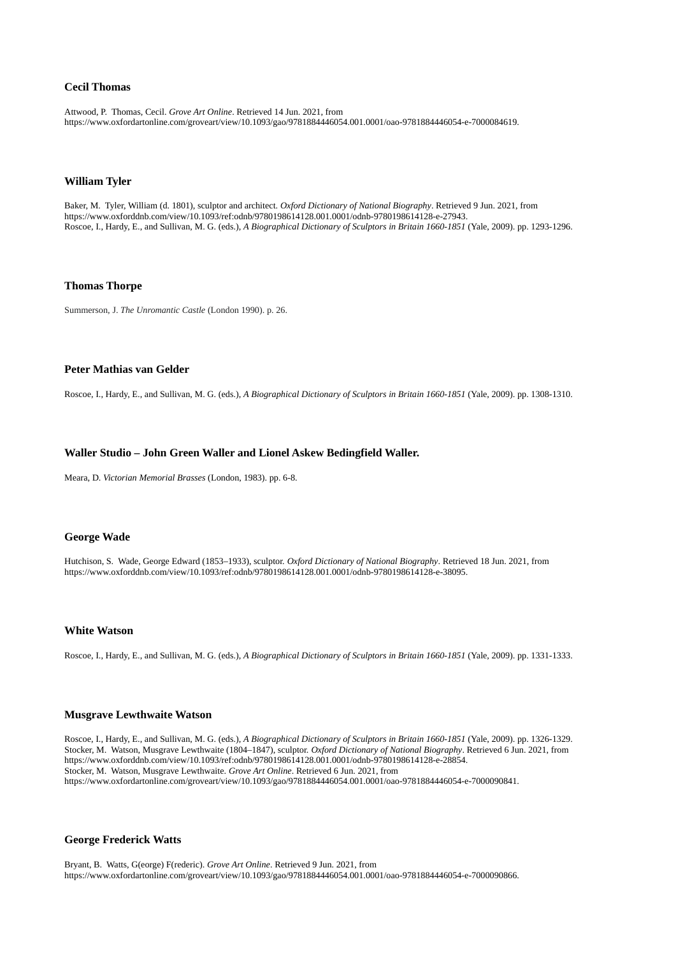# **Cecil Thomas**

Attwood, P. Thomas, Cecil. *Grove Art Online*. Retrieved 14 Jun. 2021, from https://www.oxfordartonline.com/groveart/view/10.1093/gao/9781884446054.001.0001/oao-9781884446054-e-7000084619.

# **William Tyler**

Baker, M. Tyler, William (d. 1801), sculptor and architect. *Oxford Dictionary of National Biography*. Retrieved 9 Jun. 2021, from https://www.oxforddnb.com/view/10.1093/ref:odnb/9780198614128.001.0001/odnb-9780198614128-e-27943. Roscoe, I., Hardy, E., and Sullivan, M. G. (eds.), *A Biographical Dictionary of Sculptors in Britain 1660-1851* (Yale, 2009). pp. 1293-1296.

# **Thomas Thorpe**

Summerson, J. *The Unromantic Castle* (London 1990). p. 26.

### **Peter Mathias van Gelder**

Roscoe, I., Hardy, E., and Sullivan, M. G. (eds.), *A Biographical Dictionary of Sculptors in Britain 1660-1851* (Yale, 2009). pp. 1308-1310.

# **Waller Studio – John Green Waller and Lionel Askew Bedingfield Waller.**

Meara, D. *Victorian Memorial Brasses* (London, 1983). pp. 6-8.

# **George Wade**

Hutchison, S. Wade, George Edward (1853–1933), sculptor. *Oxford Dictionary of National Biography*. Retrieved 18 Jun. 2021, from https://www.oxforddnb.com/view/10.1093/ref:odnb/9780198614128.001.0001/odnb-9780198614128-e-38095.

# **White Watson**

Roscoe, I., Hardy, E., and Sullivan, M. G. (eds.), *A Biographical Dictionary of Sculptors in Britain 1660-1851* (Yale, 2009). pp. 1331-1333.

#### **Musgrave Lewthwaite Watson**

Roscoe, I., Hardy, E., and Sullivan, M. G. (eds.), *A Biographical Dictionary of Sculptors in Britain 1660-1851* (Yale, 2009). pp. 1326-1329. Stocker, M. Watson, Musgrave Lewthwaite (1804–1847), sculptor. *Oxford Dictionary of National Biography*. Retrieved 6 Jun. 2021, from https://www.oxforddnb.com/view/10.1093/ref:odnb/9780198614128.001.0001/odnb-9780198614128-e-28854. Stocker, M. Watson, Musgrave Lewthwaite. *Grove Art Online*. Retrieved 6 Jun. 2021, from https://www.oxfordartonline.com/groveart/view/10.1093/gao/9781884446054.001.0001/oao-9781884446054-e-7000090841.

# **George Frederick Watts**

Bryant, B. Watts, G(eorge) F(rederic). *Grove Art Online*. Retrieved 9 Jun. 2021, from https://www.oxfordartonline.com/groveart/view/10.1093/gao/9781884446054.001.0001/oao-9781884446054-e-7000090866.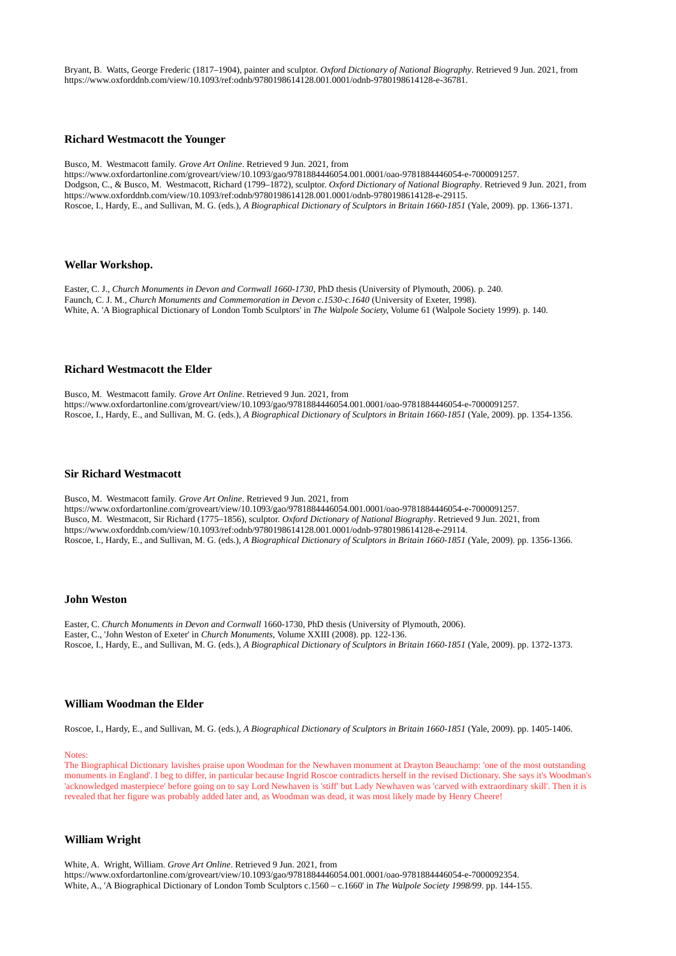Bryant, B. Watts, George Frederic (1817–1904), painter and sculptor. *Oxford Dictionary of National Biography*. Retrieved 9 Jun. 2021, from https://www.oxforddnb.com/view/10.1093/ref:odnb/9780198614128.001.0001/odnb-9780198614128-e-36781.

#### **Richard Westmacott the Younger**

Busco, M. Westmacott family. *Grove Art Online*. Retrieved 9 Jun. 2021, from https://www.oxfordartonline.com/groveart/view/10.1093/gao/9781884446054.001.0001/oao-9781884446054-e-7000091257. Dodgson, C., & Busco, M. Westmacott, Richard (1799–1872), sculptor. *Oxford Dictionary of National Biography*. Retrieved 9 Jun. 2021, from https://www.oxforddnb.com/view/10.1093/ref:odnb/9780198614128.001.0001/odnb-9780198614128-e-29115. Roscoe, I., Hardy, E., and Sullivan, M. G. (eds.), *A Biographical Dictionary of Sculptors in Britain 1660-1851* (Yale, 2009). pp. 1366-1371.

#### **Wellar Workshop.**

Easter, C. J., *Church Monuments in Devon and Cornwall 1660-1730*, PhD thesis (University of Plymouth, 2006). p. 240. Faunch, C. J. M., *Church Monuments and Commemoration in Devon c.1530-c.1640* (University of Exeter, 1998). White, A. 'A Biographical Dictionary of London Tomb Sculptors' in *The Walpole Society,* Volume 61 (Walpole Society 1999). p. 140.

### **Richard Westmacott the Elder**

Busco, M. Westmacott family. *Grove Art Online*. Retrieved 9 Jun. 2021, from https://www.oxfordartonline.com/groveart/view/10.1093/gao/9781884446054.001.0001/oao-9781884446054-e-7000091257. Roscoe, I., Hardy, E., and Sullivan, M. G. (eds.), *A Biographical Dictionary of Sculptors in Britain 1660-1851* (Yale, 2009). pp. 1354-1356.

#### **Sir Richard Westmacott**

Busco, M. Westmacott family. *Grove Art Online*. Retrieved 9 Jun. 2021, from https://www.oxfordartonline.com/groveart/view/10.1093/gao/9781884446054.001.0001/oao-9781884446054-e-7000091257. Busco, M. Westmacott, Sir Richard (1775–1856), sculptor. *Oxford Dictionary of National Biography*. Retrieved 9 Jun. 2021, from https://www.oxforddnb.com/view/10.1093/ref:odnb/9780198614128.001.0001/odnb-9780198614128-e-29114. Roscoe, I., Hardy, E., and Sullivan, M. G. (eds.), *A Biographical Dictionary of Sculptors in Britain 1660-1851* (Yale, 2009). pp. 1356-1366.

#### **John Weston**

Easter, C. *Church Monuments in Devon and Cornwall* 1660-1730, PhD thesis (University of Plymouth, 2006). Easter, C., 'John Weston of Exeter' in *Church Monuments*, Volume XXIII (2008). pp. 122-136. Roscoe, I., Hardy, E., and Sullivan, M. G. (eds.), *A Biographical Dictionary of Sculptors in Britain 1660-1851* (Yale, 2009). pp. 1372-1373.

### **William Woodman the Elder**

Roscoe, I., Hardy, E., and Sullivan, M. G. (eds.), *A Biographical Dictionary of Sculptors in Britain 1660-1851* (Yale, 2009). pp. 1405-1406.

#### Notes:

The Biographical Dictionary lavishes praise upon Woodman for the Newhaven monument at Drayton Beauchamp: 'one of the most outstanding monuments in England'. I beg to differ, in particular because Ingrid Roscoe contradicts herself in the revised Dictionary. She says it's Woodman's 'acknowledged masterpiece' before going on to say Lord Newhaven is 'stiff' but Lady Newhaven was 'carved with extraordinary skill'. Then it is revealed that her figure was probably added later and, as Woodman was dead, it was most likely made by Henry Cheere!

# **William Wright**

White, A. Wright, William. *Grove Art Online*. Retrieved 9 Jun. 2021, from https://www.oxfordartonline.com/groveart/view/10.1093/gao/9781884446054.001.0001/oao-9781884446054-e-7000092354. White, A., 'A Biographical Dictionary of London Tomb Sculptors c.1560 – c.1660' in *The Walpole Society 1998/99*. pp. 144-155.